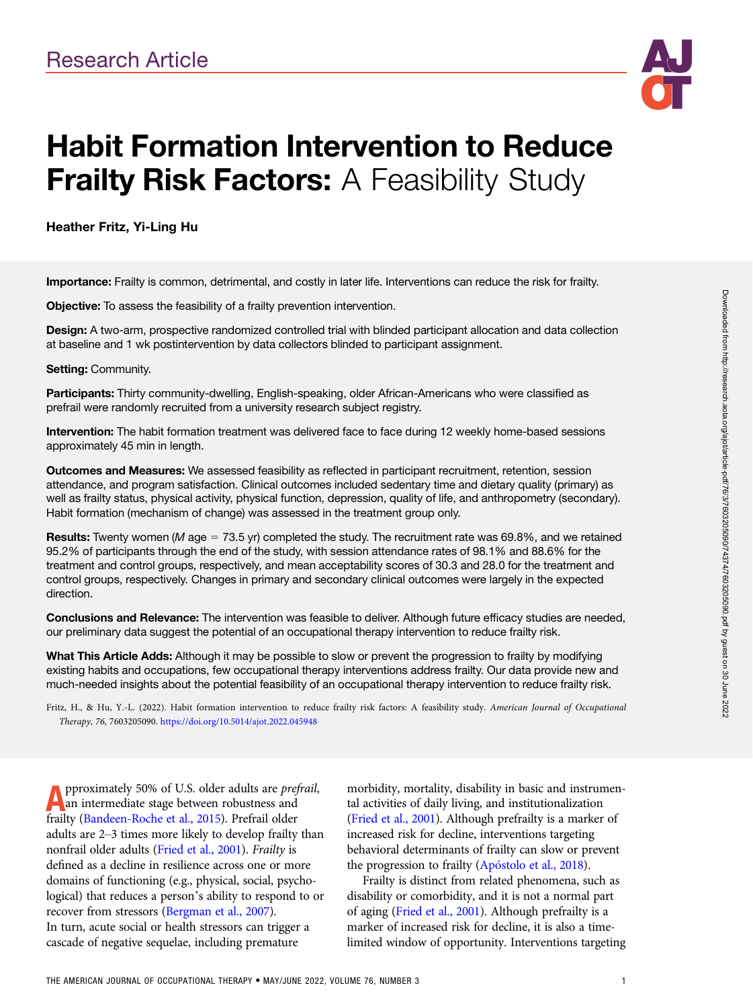

# Habit Formation Intervention to Reduce **Frailty Risk Factors: A Feasibility Study**

Heather Fritz, Yi-Ling Hu

Importance: Frailty is common, detrimental, and costly in later life. Interventions can reduce the risk for frailty.

Objective: To assess the feasibility of a frailty prevention intervention.

Design: A two-arm, prospective randomized controlled trial with blinded participant allocation and data collection at baseline and 1 wk postintervention by data collectors blinded to participant assignment.

#### Setting: Community.

Participants: Thirty community-dwelling, English-speaking, older African-Americans who were classified as prefrail were randomly recruited from a university research subject registry.

Intervention: The habit formation treatment was delivered face to face during 12 weekly home-based sessions approximately 45 min in length.

Outcomes and Measures: We assessed feasibility as reflected in participant recruitment, retention, session attendance, and program satisfaction. Clinical outcomes included sedentary time and dietary quality (primary) as well as frailty status, physical activity, physical function, depression, quality of life, and anthropometry (secondary). Habit formation (mechanism of change) was assessed in the treatment group only.

**Results:** Twenty women (M age = 73.5 yr) completed the study. The recruitment rate was 69.8%, and we retained 95.2% of participants through the end of the study, with session attendance rates of 98.1% and 88.6% for the treatment and control groups, respectively, and mean acceptability scores of 30.3 and 28.0 for the treatment and control groups, respectively. Changes in primary and secondary clinical outcomes were largely in the expected direction.

Conclusions and Relevance: The intervention was feasible to deliver. Although future efficacy studies are needed, our preliminary data suggest the potential of an occupational therapy intervention to reduce frailty risk.

What This Article Adds: Although it may be possible to slow or prevent the progression to frailty by modifying existing habits and occupations, few occupational therapy interventions address frailty. Our data provide new and much-needed insights about the potential feasibility of an occupational therapy intervention to reduce frailty risk.

Fritz, H., & Hu, Y.-L. (2022). Habit formation intervention to reduce frailty risk factors: A feasibility study. American Journal of Occupational Therapy, 76, 7603205090. <https://doi.org/10.5014/ajot.2022.045948>

**A** pproximately 50% of U.S. older adults are *pre* an intermediate stage between robustness and frailty ([Bandeen-Roche et al., 2015](#page-9-0)). Prefrail older pproximately 50% of U.S. older adults are prefrail, an intermediate stage between robustness and adults are 2–3 times more likely to develop frailty than nonfrail older adults [\(Fried et al., 2001](#page-9-0)). Frailty is defined as a decline in resilience across one or more domains of functioning (e.g., physical, social, psychological) that reduces a person's ability to respond to or recover from stressors [\(Bergman et al., 2007](#page-9-0)). In turn, acute social or health stressors can trigger a cascade of negative sequelae, including premature

morbidity, mortality, disability in basic and instrumental activities of daily living, and institutionalization [\(Fried et al., 2001](#page-9-0)). Although prefrailty is a marker of increased risk for decline, interventions targeting behavioral determinants of frailty can slow or prevent the progression to frailty (Apóstolo et al., 2018).

Frailty is distinct from related phenomena, such as disability or comorbidity, and it is not a normal part of aging [\(Fried et al., 2001\)](#page-9-0). Although prefrailty is a marker of increased risk for decline, it is also a timelimited window of opportunity. Interventions targeting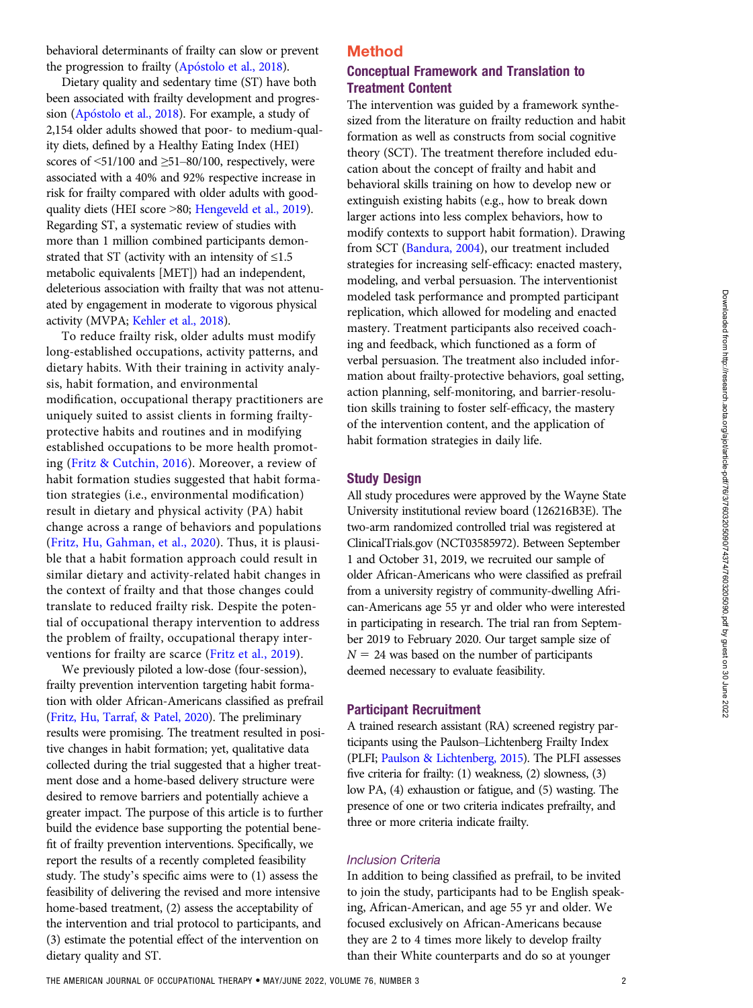behavioral determinants of frailty can slow or prevent the progression to frailty (Apóstolo et al., 2018).

Dietary quality and sedentary time (ST) have both been associated with frailty development and progression (Apóstolo et al., 2018). For example, a study of 2,154 older adults showed that poor- to medium-quality diets, defined by a Healthy Eating Index (HEI) scores of  $\leq 51/100$  and  $\geq 51-80/100$ , respectively, were associated with a 40% and 92% respective increase in risk for frailty compared with older adults with goodquality diets (HEI score >80; [Hengeveld et al., 2019\)](#page-9-0). Regarding ST, a systematic review of studies with more than 1 million combined participants demonstrated that ST (activity with an intensity of  $\leq$ 1.5 metabolic equivalents [MET]) had an independent, deleterious association with frailty that was not attenuated by engagement in moderate to vigorous physical activity (MVPA; [Kehler et al., 2018\)](#page-9-0).

To reduce frailty risk, older adults must modify long-established occupations, activity patterns, and dietary habits. With their training in activity analysis, habit formation, and environmental modification, occupational therapy practitioners are uniquely suited to assist clients in forming frailtyprotective habits and routines and in modifying established occupations to be more health promoting [\(Fritz & Cutchin, 2016\)](#page-9-0). Moreover, a review of habit formation studies suggested that habit formation strategies (i.e., environmental modification) result in dietary and physical activity (PA) habit change across a range of behaviors and populations [\(Fritz, Hu, Gahman, et al., 2020\)](#page-9-0). Thus, it is plausible that a habit formation approach could result in similar dietary and activity-related habit changes in the context of frailty and that those changes could translate to reduced frailty risk. Despite the potential of occupational therapy intervention to address the problem of frailty, occupational therapy interventions for frailty are scarce ([Fritz et al., 2019\)](#page-9-0).

We previously piloted a low-dose (four-session), frailty prevention intervention targeting habit formation with older African-Americans classified as prefrail [\(Fritz, Hu, Tarraf, & Patel, 2020\)](#page-9-0). The preliminary results were promising. The treatment resulted in positive changes in habit formation; yet, qualitative data collected during the trial suggested that a higher treatment dose and a home-based delivery structure were desired to remove barriers and potentially achieve a greater impact. The purpose of this article is to further build the evidence base supporting the potential benefit of frailty prevention interventions. Specifically, we report the results of a recently completed feasibility study. The study's specific aims were to (1) assess the feasibility of delivering the revised and more intensive home-based treatment, (2) assess the acceptability of the intervention and trial protocol to participants, and (3) estimate the potential effect of the intervention on dietary quality and ST.

# Method Conceptual Framework and Translation to Treatment Content

The intervention was guided by a framework synthesized from the literature on frailty reduction and habit formation as well as constructs from social cognitive theory (SCT). The treatment therefore included education about the concept of frailty and habit and behavioral skills training on how to develop new or extinguish existing habits (e.g., how to break down larger actions into less complex behaviors, how to modify contexts to support habit formation). Drawing from SCT [\(Bandura, 2004\)](#page-9-0), our treatment included strategies for increasing self-efficacy: enacted mastery, modeling, and verbal persuasion. The interventionist modeled task performance and prompted participant replication, which allowed for modeling and enacted mastery. Treatment participants also received coaching and feedback, which functioned as a form of verbal persuasion. The treatment also included information about frailty-protective behaviors, goal setting, action planning, self-monitoring, and barrier-resolution skills training to foster self-efficacy, the mastery of the intervention content, and the application of habit formation strategies in daily life.

#### Study Design

All study procedures were approved by the Wayne State University institutional review board (126216B3E). The two-arm randomized controlled trial was registered at ClinicalTrials.gov (NCT03585972). Between September 1 and October 31, 2019, we recruited our sample of older African-Americans who were classified as prefrail from a university registry of community-dwelling African-Americans age 55 yr and older who were interested in participating in research. The trial ran from September 2019 to February 2020. Our target sample size of  $N = 24$  was based on the number of participants deemed necessary to evaluate feasibility.

#### Participant Recruitment

A trained research assistant (RA) screened registry participants using the Paulson–Lichtenberg Frailty Index (PLFI; [Paulson & Lichtenberg, 2015](#page-10-0)). The PLFI assesses five criteria for frailty: (1) weakness, (2) slowness, (3) low PA, (4) exhaustion or fatigue, and (5) wasting. The presence of one or two criteria indicates prefrailty, and three or more criteria indicate frailty.

#### Inclusion Criteria

In addition to being classified as prefrail, to be invited to join the study, participants had to be English speaking, African-American, and age 55 yr and older. We focused exclusively on African-Americans because they are 2 to 4 times more likely to develop frailty than their White counterparts and do so at younger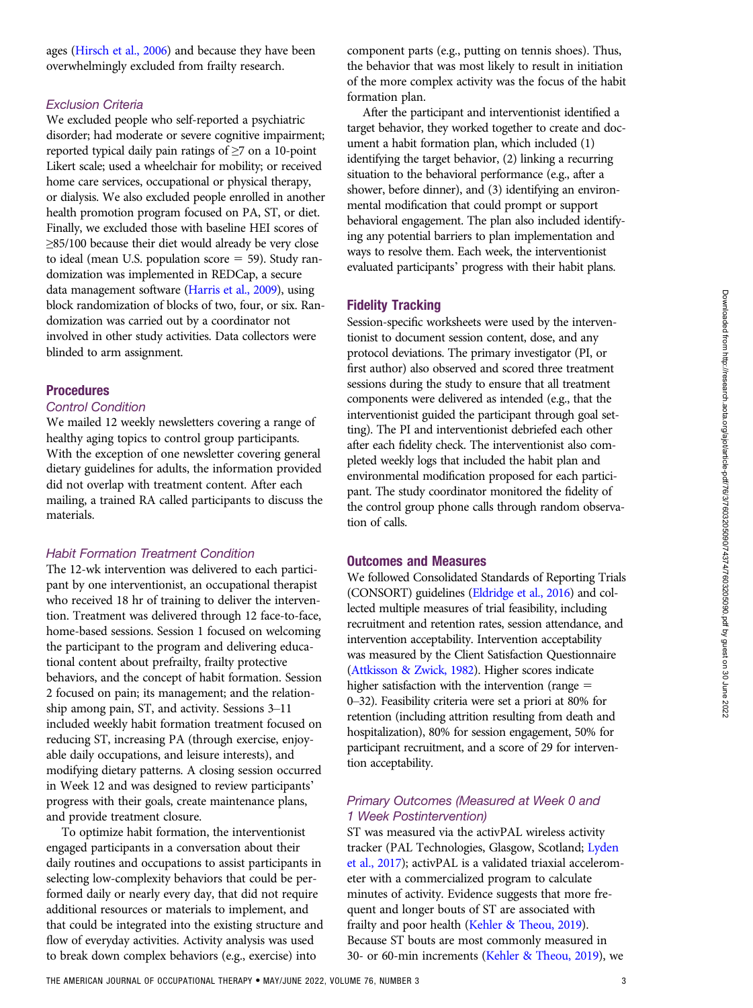ages [\(Hirsch et al., 2006\)](#page-9-0) and because they have been overwhelmingly excluded from frailty research.

#### Exclusion Criteria

We excluded people who self-reported a psychiatric disorder; had moderate or severe cognitive impairment; reported typical daily pain ratings of ≥7 on a 10-point Likert scale; used a wheelchair for mobility; or received home care services, occupational or physical therapy, or dialysis. We also excluded people enrolled in another health promotion program focused on PA, ST, or diet. Finally, we excluded those with baseline HEI scores of ≥85/100 because their diet would already be very close to ideal (mean U.S. population score  $=$  59). Study randomization was implemented in REDCap, a secure data management software [\(Harris et al., 2009](#page-9-0)), using block randomization of blocks of two, four, or six. Randomization was carried out by a coordinator not involved in other study activities. Data collectors were blinded to arm assignment.

#### **Procedures**

#### Control Condition

We mailed 12 weekly newsletters covering a range of healthy aging topics to control group participants. With the exception of one newsletter covering general dietary guidelines for adults, the information provided did not overlap with treatment content. After each mailing, a trained RA called participants to discuss the materials.

#### Habit Formation Treatment Condition

The 12-wk intervention was delivered to each participant by one interventionist, an occupational therapist who received 18 hr of training to deliver the intervention. Treatment was delivered through 12 face-to-face, home-based sessions. Session 1 focused on welcoming the participant to the program and delivering educational content about prefrailty, frailty protective behaviors, and the concept of habit formation. Session 2 focused on pain; its management; and the relationship among pain, ST, and activity. Sessions 3–11 included weekly habit formation treatment focused on reducing ST, increasing PA (through exercise, enjoyable daily occupations, and leisure interests), and modifying dietary patterns. A closing session occurred in Week 12 and was designed to review participants' progress with their goals, create maintenance plans, and provide treatment closure.

To optimize habit formation, the interventionist engaged participants in a conversation about their daily routines and occupations to assist participants in selecting low-complexity behaviors that could be performed daily or nearly every day, that did not require additional resources or materials to implement, and that could be integrated into the existing structure and flow of everyday activities. Activity analysis was used to break down complex behaviors (e.g., exercise) into

component parts (e.g., putting on tennis shoes). Thus, the behavior that was most likely to result in initiation of the more complex activity was the focus of the habit formation plan.

After the participant and interventionist identified a target behavior, they worked together to create and document a habit formation plan, which included (1) identifying the target behavior, (2) linking a recurring situation to the behavioral performance (e.g., after a shower, before dinner), and (3) identifying an environmental modification that could prompt or support behavioral engagement. The plan also included identifying any potential barriers to plan implementation and ways to resolve them. Each week, the interventionist evaluated participants' progress with their habit plans.

## Fidelity Tracking

Session-specific worksheets were used by the interventionist to document session content, dose, and any protocol deviations. The primary investigator (PI, or first author) also observed and scored three treatment sessions during the study to ensure that all treatment components were delivered as intended (e.g., that the interventionist guided the participant through goal setting). The PI and interventionist debriefed each other after each fidelity check. The interventionist also completed weekly logs that included the habit plan and environmental modification proposed for each participant. The study coordinator monitored the fidelity of the control group phone calls through random observation of calls.

#### Outcomes and Measures

We followed Consolidated Standards of Reporting Trials (CONSORT) guidelines [\(Eldridge et al., 2016\)](#page-9-0) and collected multiple measures of trial feasibility, including recruitment and retention rates, session attendance, and intervention acceptability. Intervention acceptability was measured by the Client Satisfaction Questionnaire [\(Attkisson & Zwick, 1982\)](#page-9-0). Higher scores indicate higher satisfaction with the intervention (range  $=$ 0–32). Feasibility criteria were set a priori at 80% for retention (including attrition resulting from death and hospitalization), 80% for session engagement, 50% for participant recruitment, and a score of 29 for intervention acceptability.

## Primary Outcomes (Measured at Week 0 and 1 Week Postintervention)

ST was measured via the activPAL wireless activity tracker (PAL Technologies, Glasgow, Scotland; [Lyden](#page-9-0) [et al., 2017\)](#page-9-0); activPAL is a validated triaxial accelerometer with a commercialized program to calculate minutes of activity. Evidence suggests that more frequent and longer bouts of ST are associated with frailty and poor health [\(Kehler & Theou, 2019\)](#page-9-0). Because ST bouts are most commonly measured in 30- or 60-min increments [\(Kehler & Theou, 2019\)](#page-9-0), we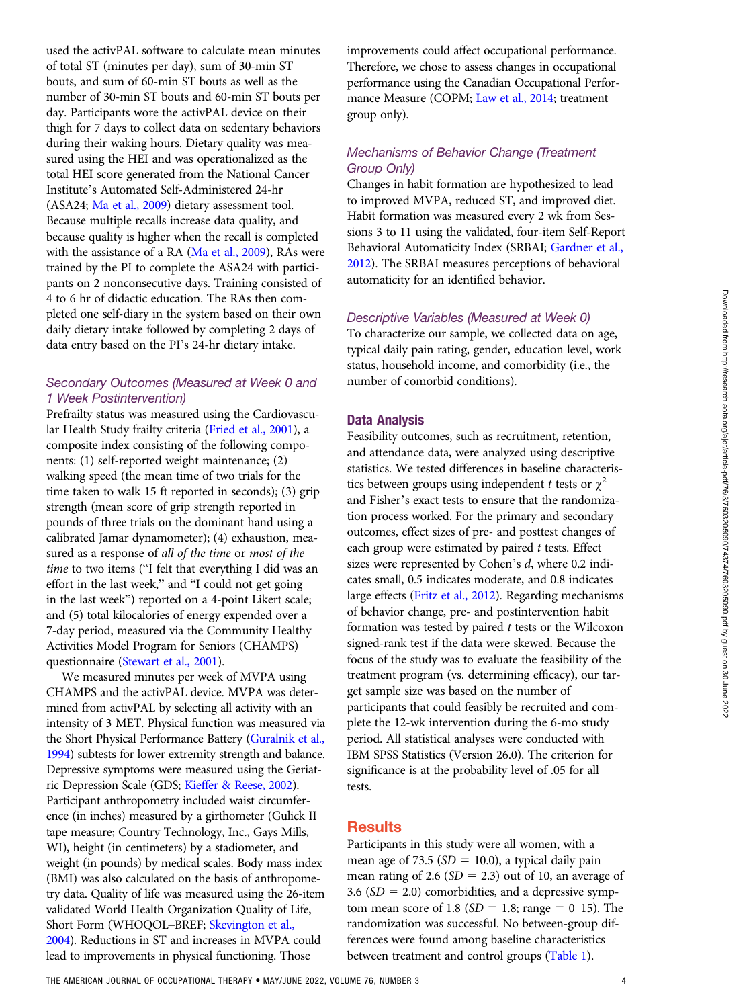used the activPAL software to calculate mean minutes of total ST (minutes per day), sum of 30-min ST bouts, and sum of 60-min ST bouts as well as the number of 30-min ST bouts and 60-min ST bouts per day. Participants wore the activPAL device on their thigh for 7 days to collect data on sedentary behaviors during their waking hours. Dietary quality was measured using the HEI and was operationalized as the total HEI score generated from the National Cancer Institute's Automated Self-Administered 24-hr (ASA24; [Ma et al., 2009](#page-9-0)) dietary assessment tool. Because multiple recalls increase data quality, and because quality is higher when the recall is completed with the assistance of a RA [\(Ma et al., 2009](#page-9-0)), RAs were trained by the PI to complete the ASA24 with participants on 2 nonconsecutive days. Training consisted of 4 to 6 hr of didactic education. The RAs then completed one self-diary in the system based on their own daily dietary intake followed by completing 2 days of data entry based on the PI's 24-hr dietary intake.

## Secondary Outcomes (Measured at Week 0 and 1 Week Postintervention)

Prefrailty status was measured using the Cardiovascular Health Study frailty criteria [\(Fried et al., 2001\)](#page-9-0), a composite index consisting of the following components: (1) self-reported weight maintenance; (2) walking speed (the mean time of two trials for the time taken to walk 15 ft reported in seconds); (3) grip strength (mean score of grip strength reported in pounds of three trials on the dominant hand using a calibrated Jamar dynamometer); (4) exhaustion, measured as a response of all of the time or most of the time to two items ("I felt that everything I did was an effort in the last week," and "I could not get going in the last week") reported on a 4-point Likert scale; and (5) total kilocalories of energy expended over a 7-day period, measured via the Community Healthy Activities Model Program for Seniors (CHAMPS) questionnaire [\(Stewart et al., 2001\)](#page-10-0).

We measured minutes per week of MVPA using CHAMPS and the activPAL device. MVPA was determined from activPAL by selecting all activity with an intensity of 3 MET. Physical function was measured via the Short Physical Performance Battery [\(Guralnik et al.,](#page-9-0) [1994](#page-9-0)) subtests for lower extremity strength and balance. Depressive symptoms were measured using the Geriatric Depression Scale (GDS; [Kieffer & Reese, 2002\)](#page-9-0). Participant anthropometry included waist circumference (in inches) measured by a girthometer (Gulick II tape measure; Country Technology, Inc., Gays Mills, WI), height (in centimeters) by a stadiometer, and weight (in pounds) by medical scales. Body mass index (BMI) was also calculated on the basis of anthropometry data. Quality of life was measured using the 26-item validated World Health Organization Quality of Life, Short Form (WHOQOL–BREF; [Skevington et al.,](#page-10-0) [2004](#page-10-0)). Reductions in ST and increases in MVPA could lead to improvements in physical functioning. Those

improvements could affect occupational performance. Therefore, we chose to assess changes in occupational performance using the Canadian Occupational Performance Measure (COPM; [Law et al., 2014;](#page-9-0) treatment group only).

## Mechanisms of Behavior Change (Treatment Group Only)

Changes in habit formation are hypothesized to lead to improved MVPA, reduced ST, and improved diet. Habit formation was measured every 2 wk from Sessions 3 to 11 using the validated, four-item Self-Report Behavioral Automaticity Index (SRBAI; [Gardner et al.,](#page-9-0) [2012](#page-9-0)). The SRBAI measures perceptions of behavioral automaticity for an identified behavior.

#### Descriptive Variables (Measured at Week 0)

To characterize our sample, we collected data on age, typical daily pain rating, gender, education level, work status, household income, and comorbidity (i.e., the number of comorbid conditions).

#### Data Analysis

Feasibility outcomes, such as recruitment, retention, and attendance data, were analyzed using descriptive statistics. We tested differences in baseline characteristics between groups using independent t tests or  $\chi^2$ and Fisher's exact tests to ensure that the randomization process worked. For the primary and secondary outcomes, effect sizes of pre- and posttest changes of each group were estimated by paired  $t$  tests. Effect sizes were represented by Cohen's d, where 0.2 indicates small, 0.5 indicates moderate, and 0.8 indicates large effects ([Fritz et al., 2012\)](#page-9-0). Regarding mechanisms of behavior change, pre- and postintervention habit formation was tested by paired  $t$  tests or the Wilcoxon signed-rank test if the data were skewed. Because the focus of the study was to evaluate the feasibility of the treatment program (vs. determining efficacy), our target sample size was based on the number of participants that could feasibly be recruited and complete the 12-wk intervention during the 6-mo study period. All statistical analyses were conducted with IBM SPSS Statistics (Version 26.0). The criterion for significance is at the probability level of .05 for all tests.

## **Results**

Participants in this study were all women, with a mean age of 73.5 ( $SD = 10.0$ ), a typical daily pain mean rating of 2.6 ( $SD = 2.3$ ) out of 10, an average of 3.6 ( $SD = 2.0$ ) comorbidities, and a depressive symptom mean score of 1.8 ( $SD = 1.8$ ; range = 0–15). The randomization was successful. No between-group differences were found among baseline characteristics between treatment and control groups ([Table 1\)](#page-4-0).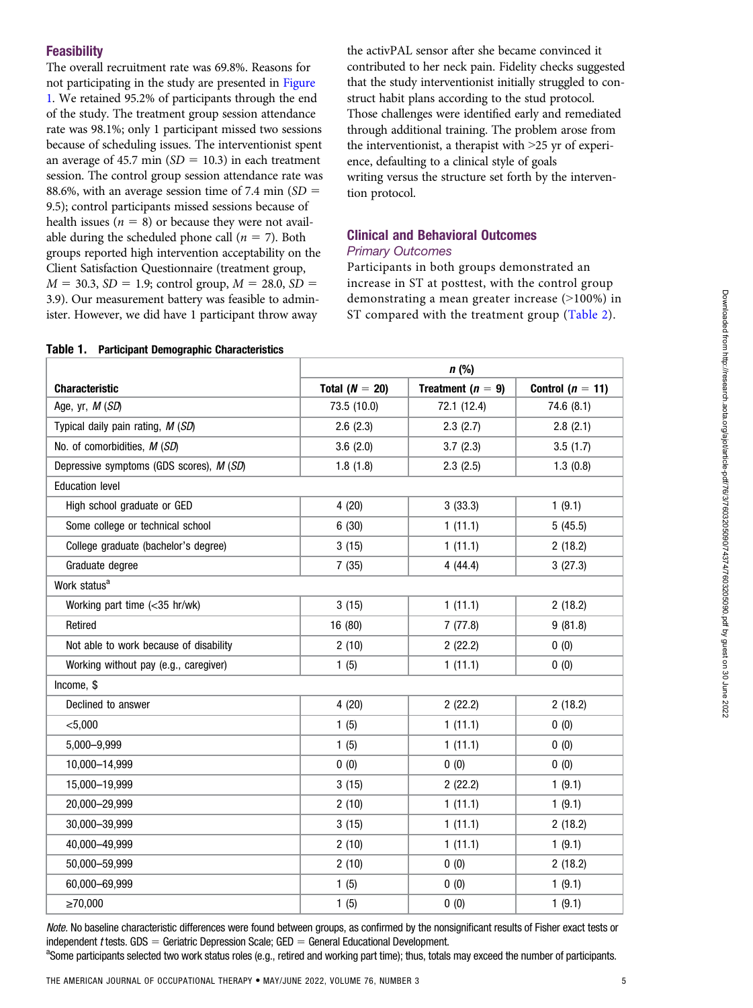## **Feasibility**

The overall recruitment rate was 69.8%. Reasons for not participating in the study are presented in [Figure](#page-5-0) [1](#page-5-0). We retained 95.2% of participants through the end of the study. The treatment group session attendance rate was 98.1%; only 1 participant missed two sessions because of scheduling issues. The interventionist spent an average of 45.7 min ( $SD = 10.3$ ) in each treatment session. The control group session attendance rate was 88.6%, with an average session time of 7.4 min  $SD =$ 9.5); control participants missed sessions because of health issues ( $n = 8$ ) or because they were not available during the scheduled phone call ( $n = 7$ ). Both groups reported high intervention acceptability on the Client Satisfaction Questionnaire (treatment group,  $M = 30.3$ ,  $SD = 1.9$ ; control group,  $M = 28.0$ ,  $SD =$ 3.9). Our measurement battery was feasible to administer. However, we did have 1 participant throw away

the activPAL sensor after she became convinced it contributed to her neck pain. Fidelity checks suggested that the study interventionist initially struggled to construct habit plans according to the stud protocol. Those challenges were identified early and remediated through additional training. The problem arose from the interventionist, a therapist with >25 yr of experience, defaulting to a clinical style of goals writing versus the structure set forth by the intervention protocol.

## Clinical and Behavioral Outcomes Primary Outcomes

Participants in both groups demonstrated an increase in ST at posttest, with the control group demonstrating a mean greater increase (>100%) in ST compared with the treatment group [\(Table 2](#page-6-0)).

|                                          |                  | $n$ (%)             |                      |
|------------------------------------------|------------------|---------------------|----------------------|
| <b>Characteristic</b>                    | Total $(N = 20)$ | Treatment $(n = 9)$ | Control ( $n = 11$ ) |
| Age, yr, $M(SD)$                         | 73.5 (10.0)      | 72.1 (12.4)         | 74.6 (8.1)           |
| Typical daily pain rating, M (SD)        | 2.6(2.3)         | 2.3(2.7)            | 2.8(2.1)             |
| No. of comorbidities, M (SD)             | 3.6(2.0)         | 3.7(2.3)            | 3.5(1.7)             |
| Depressive symptoms (GDS scores), M (SD) | 1.8(1.8)         | 2.3(2.5)            | 1.3(0.8)             |
| <b>Education level</b>                   |                  |                     |                      |
| High school graduate or GED              | 4(20)            | 3(33.3)             | 1(9.1)               |
| Some college or technical school         | 6(30)            | 1(11.1)             | 5(45.5)              |
| College graduate (bachelor's degree)     | 3(15)            | 1(11.1)             | 2(18.2)              |
| Graduate degree                          | 7(35)            | 4(44.4)             | 3(27.3)              |
| Work status <sup>a</sup>                 |                  |                     |                      |
| Working part time (<35 hr/wk)            | 3(15)            | 1(11.1)             | 2(18.2)              |
| Retired                                  | 16 (80)          | 7(77.8)             | 9(81.8)              |
| Not able to work because of disability   | 2(10)            | 2(22.2)             | 0(0)                 |
| Working without pay (e.g., caregiver)    | 1(5)             | 1(11.1)             | 0(0)                 |
| Income, \$                               |                  |                     |                      |
| Declined to answer                       | 4(20)            | 2(22.2)             | 2(18.2)              |
| $<$ 5,000                                | 1(5)             | 1(11.1)             | 0(0)                 |
| 5,000-9,999                              | 1(5)             | 1(11.1)             | 0(0)                 |
| 10,000-14,999                            | 0(0)             | 0(0)                | 0(0)                 |
| 15,000-19,999                            | 3(15)            | 2(22.2)             | 1(9.1)               |
| 20,000-29,999                            | 2(10)            | 1(11.1)             | 1(9.1)               |
| 30,000-39,999                            | 3(15)            | 1(11.1)             | 2(18.2)              |
| 40,000-49,999                            | 2(10)            | 1(11.1)             | 1(9.1)               |
| 50,000-59,999                            | 2(10)            | 0(0)                | 2(18.2)              |
| 60,000-69,999                            | 1(5)             | 0(0)                | 1(9.1)               |
| ≥70,000                                  | 1(5)             | 0(0)                | 1(9.1)               |

<span id="page-4-0"></span>Table 1. Participant Demographic Characteristics

Note. No baseline characteristic differences were found between groups, as confirmed by the nonsignificant results of Fisher exact tests or independent *t* tests. GDS = Geriatric Depression Scale; GED = General Educational Development.

<sup>a</sup>Some participants selected two work status roles (e.g., retired and working part time); thus, totals may exceed the number of participants.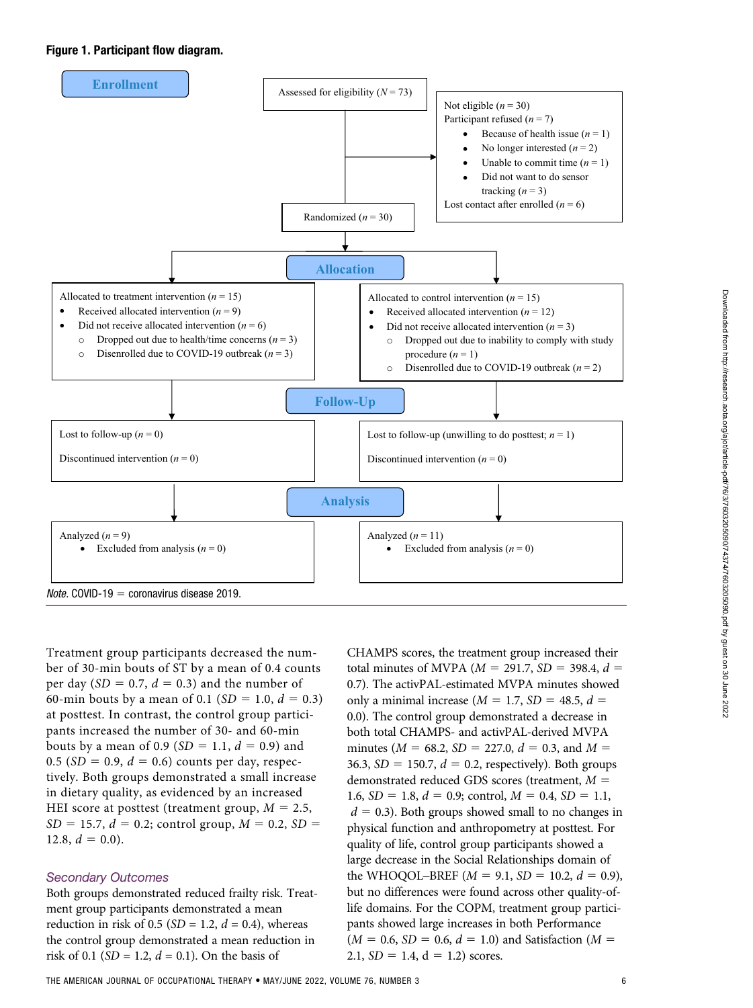#### <span id="page-5-0"></span>Figure 1. Participant flow diagram.



Treatment group participants decreased the number of 30-min bouts of ST by a mean of 0.4 counts per day (SD = 0.7,  $d = 0.3$ ) and the number of 60-min bouts by a mean of 0.1 ( $SD = 1.0$ ,  $d = 0.3$ ) at posttest. In contrast, the control group participants increased the number of 30- and 60-min bouts by a mean of 0.9 ( $SD = 1.1$ ,  $d = 0.9$ ) and 0.5 ( $SD = 0.9$ ,  $d = 0.6$ ) counts per day, respectively. Both groups demonstrated a small increase in dietary quality, as evidenced by an increased HEI score at posttest (treatment group,  $M = 2.5$ ,  $SD = 15.7, d = 0.2$ ; control group,  $M = 0.2, SD =$ 12.8,  $d = 0.0$ ).

## Secondary Outcomes

Both groups demonstrated reduced frailty risk. Treatment group participants demonstrated a mean reduction in risk of 0.5 ( $SD = 1.2$ ,  $d = 0.4$ ), whereas the control group demonstrated a mean reduction in risk of 0.1 ( $SD = 1.2$ ,  $d = 0.1$ ). On the basis of

CHAMPS scores, the treatment group increased their total minutes of MVPA ( $M = 291.7$ ,  $SD = 398.4$ ,  $d =$ 0.7). The activPAL-estimated MVPA minutes showed only a minimal increase ( $M = 1.7$ ,  $SD = 48.5$ ,  $d =$ 0.0). The control group demonstrated a decrease in both total CHAMPS- and activPAL-derived MVPA minutes ( $M = 68.2$ ,  $SD = 227.0$ ,  $d = 0.3$ , and  $M =$ 36.3,  $SD = 150.7$ ,  $d = 0.2$ , respectively). Both groups demonstrated reduced GDS scores (treatment,  $M =$ 1.6,  $SD = 1.8$ ,  $d = 0.9$ ; control,  $M = 0.4$ ,  $SD = 1.1$ ,  $d = 0.3$ ). Both groups showed small to no changes in physical function and anthropometry at posttest. For quality of life, control group participants showed a large decrease in the Social Relationships domain of the WHOQOL–BREF  $(M = 9.1, SD = 10.2, d = 0.9)$ , but no differences were found across other quality-oflife domains. For the COPM, treatment group participants showed large increases in both Performance  $(M = 0.6, SD = 0.6, d = 1.0)$  and Satisfaction  $(M = 1.6, S)$ 2.1,  $SD = 1.4$ ,  $d = 1.2$ ) scores.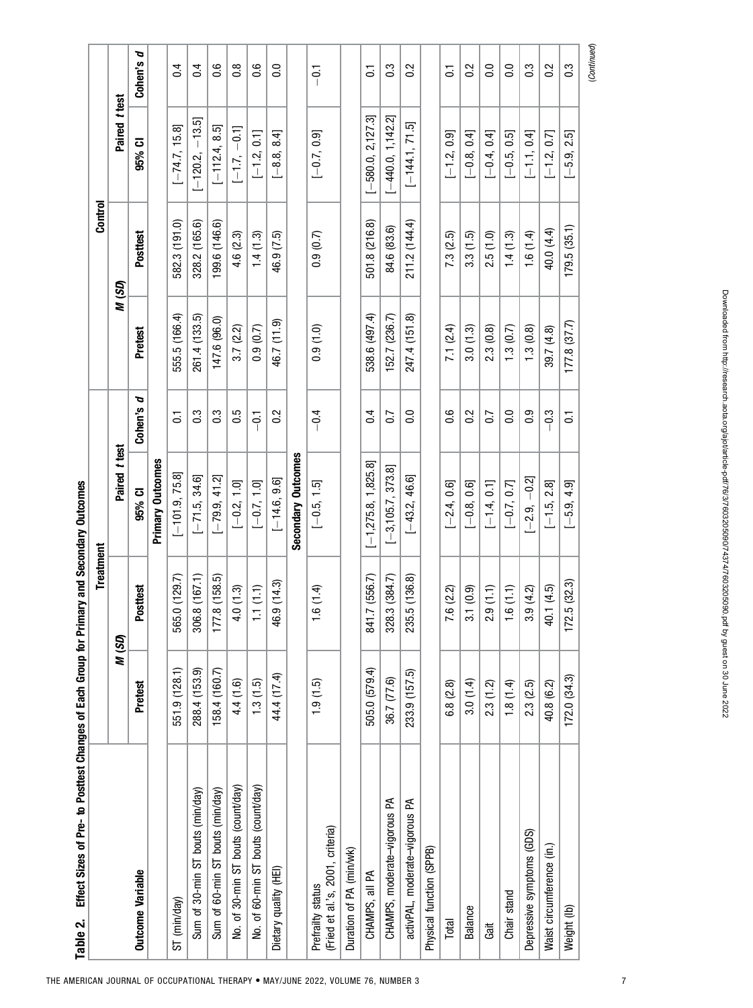<span id="page-6-0"></span>

| Effect Sizes of Pre- to Posttest Changes of Each Group for Primary and Secondary Outcomes<br>Table 2. |               |                           |                       |                  |               |               |                               |                  |
|-------------------------------------------------------------------------------------------------------|---------------|---------------------------|-----------------------|------------------|---------------|---------------|-------------------------------|------------------|
|                                                                                                       |               | Treatment                 |                       |                  |               | Control       |                               |                  |
|                                                                                                       |               | M (SD)                    | Paired t test         |                  | M (SD)        |               | Paired t test                 |                  |
| <b>Outcome Variable</b>                                                                               | Pretest       | Posttest                  | 95% CI                | Cohen's d        | Pretest       | Posttest      | 95% CI                        | Cohen's d        |
|                                                                                                       |               |                           | Primary Outcomes      |                  |               |               |                               |                  |
| ST (min/day)                                                                                          | 551.9 (128.1) | (129.7)<br>565.           | $[-101.9, 75.8]$      | $\overline{c}$   | 555.5 (166.4) | 582.3 (191.0) | $[-74.7, 15.8]$               | $\overline{0.4}$ |
| Sum of 30-min ST bouts (min/day)                                                                      | 288.4 (153.9) | 8(167.1)<br>306.          | $[-71.5, 34.6]$       | $0.\overline{3}$ | 261.4 (133.5) | 328.2 (165.6) | $[-120.2, -13.5]$             | 0.4              |
| Sum of 60-min ST bouts (min/day)                                                                      | 158.4 (160.7) | .8(158.5)<br>177.         | $[-79.9, 41.2]$       | $0.\overline{3}$ | 147.6 (96.0)  | 199.6 (146.6) | $[-112.4, 8.5]$               | 0.6              |
| No. of 30-min ST bouts (count/day)                                                                    | 4.4 (1.6)     | 4.0(1.3)                  | $[-0.2, 1.0]$         | 0.5              | 3.7(2.2)      | 4.6 (2.3)     | $[-1.7, -0.1]$                | $\frac{8}{1}$    |
| No. of 60-min ST bouts (count/day)                                                                    | 1.3(1.5)      | 1.1(1.1)                  | $[-0.7, 1.0]$         | $-5$             | (0.9, 0.7)    | 1.4(1.3)      | $[-1.2, 0.1]$                 | 0.6              |
| Dietary quality (HEI)                                                                                 | 44.4 (17.4)   | 9(14.3)<br>\$             | $[-14.6, 9.6]$        | 0.2              | 46.7 (11.9)   | 46.9 (7.5)    | $[-8.8, 8.4]$                 | $\overline{0}$   |
|                                                                                                       |               |                           | Secondary Outcomes    |                  |               |               |                               |                  |
| (Fried et al.'s, 2001, criteria)<br>Prefrailty status                                                 | (1.9(1.5)     | (1.4)                     | $[-0.5, 1.5]$         | $-0.4$           | 0.9(1.0)      | (0.9, 0.7)    | $[-0.7, 0.9]$                 | $-0.1$           |
| Duration of PA (min/wk)                                                                               |               |                           |                       |                  |               |               |                               |                  |
| CHAMPS, all PA                                                                                        | 505.0 (579.4) | 841.7 (556.7)             | $[-1,275.8, 1,825.8]$ | 0.4              | 538.6 (497.4) | 501.8 (216.8) | $[-580.0, 2, 127.3]$          | $\overline{a}$   |
| CHAMPS, moderate-vigorous PA                                                                          | 36.7 (77.6)   | .3(384.7)<br>328.         | $[-3, 105.7, 373.8]$  | 0.7              | 152.7 (236.7) | 84.6 (83.6)   | $[-440.0, 1, 142.2]$          | 0.3              |
| activPAL, moderate-vigorous PA                                                                        | 233.9 (157.5) | 5(136.8)<br>235.          | $[-43.2, 46.6]$       | $\overline{0}$ . | 247.4 (151.8) | 211.2 (144.4) | $[-144.1, 71.5]$              | $\frac{2}{3}$    |
| Physical function (SPPB)                                                                              |               |                           |                       |                  |               |               |                               |                  |
| Total                                                                                                 | 6.8(2.8)      | .6(2.2)<br>$\overline{ }$ | $[-2.4, 0.6]$         | $0.\overline{6}$ | 7.1 (2.4)     | 7.3 (2.5)     | $[-1.2, 0.9]$                 | $\overline{c}$   |
| <b>Balance</b>                                                                                        | 3.0(1.4)      | 3.1(0.9)                  | $[-0.8, 0.6]$         | 0.2              | 3.0(1.3)      | 3.3(1.5)      | $[-0.8, 0.4]$                 | 0.2              |
| Gait                                                                                                  | 2.3(1.2)      | (1.1)<br>N                | $[-1.4, 0.1]$         | 0.7              | 2.3(0.8)      | 2.5(1.0)      | $[-0.4, 0.4]$                 | $\overline{0}$   |
| Chair stand                                                                                           | 1.8(1.4)      | .6(1.1)                   | $[-0.7, 0.7]$         | $\overline{0}$ . | 1.3(0.7)      | 1.4(1.3)      | $[-0.5, 0.5]$                 | $\overline{0}$ . |
| Depressive symptoms (GDS)                                                                             | 2.3(2.5)      | 3.9(4.2)                  | $[-2.9, -0.2]$        | $\overline{0}$ . | 1.3(0.8)      | 1.6(1.4)      | $[-1.1, 0.4]$                 | $\overline{0}$   |
| Waist circumference (in.)                                                                             | 40.8 (6.2)    | 40.1 (4.5)                | $[-1.5, 2.8]$         | $-0.3$           | 39.7 (4.8)    | 40.0 (4.4)    | $[-1.2, 0.7]$                 | 0.2              |
| Weight (lb)                                                                                           | 172.0(34.3)   | .5(32.3)<br>172           | $[-5.9, 4.9]$         | $\overline{0}$   | 177.8(37.7)   | 179.5(35.1)   | $2.5\overline{)}$<br>$[-5.9,$ | 0.3              |
|                                                                                                       |               |                           |                       |                  |               |               |                               | (Continued)      |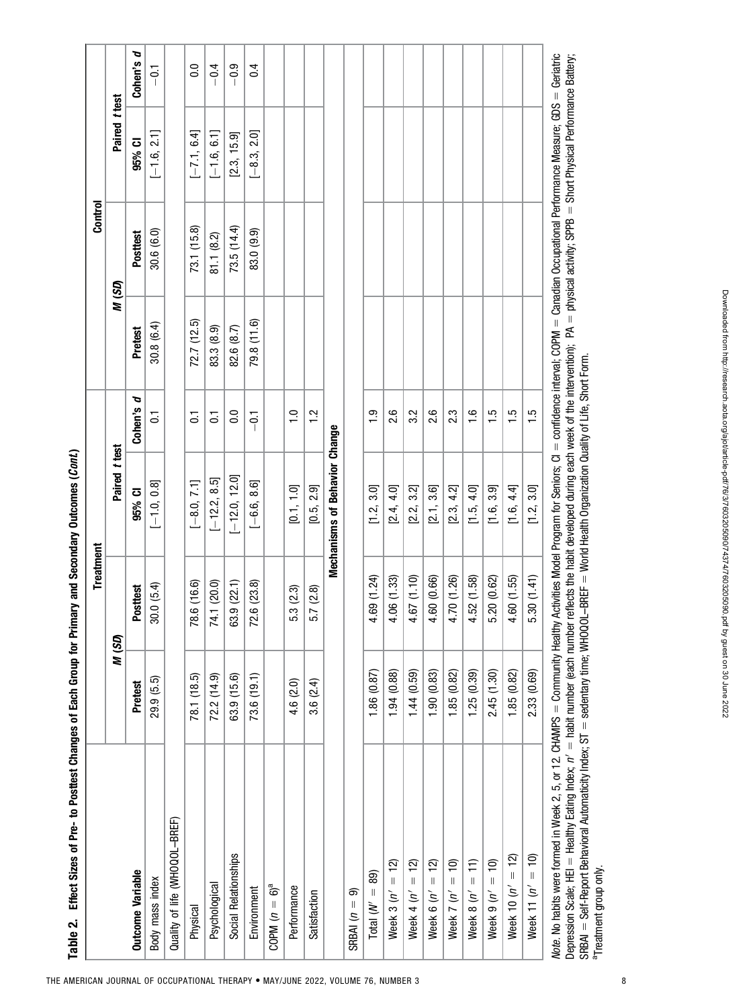| j             |  |
|---------------|--|
|               |  |
|               |  |
|               |  |
|               |  |
|               |  |
|               |  |
|               |  |
|               |  |
|               |  |
|               |  |
|               |  |
| $\frac{1}{2}$ |  |
|               |  |
|               |  |
|               |  |
|               |  |
|               |  |
|               |  |
|               |  |
|               |  |
|               |  |
|               |  |
|               |  |
|               |  |
|               |  |
|               |  |
|               |  |
|               |  |
|               |  |
|               |  |
|               |  |
|               |  |
|               |  |
|               |  |
|               |  |
|               |  |
|               |  |
|               |  |
|               |  |
|               |  |
|               |  |
|               |  |
|               |  |
| :             |  |
|               |  |
|               |  |
|               |  |
|               |  |
|               |  |
|               |  |
|               |  |
|               |  |
| $\bf{r}$      |  |
|               |  |
|               |  |
|               |  |
|               |  |
|               |  |
| i             |  |
| $\mathbf{S}$  |  |
|               |  |
|               |  |
| l             |  |
|               |  |
|               |  |
|               |  |
|               |  |
|               |  |

|                                                                                                                                                                                                               |             | Treatment        |                                      |                |             | Control         |               |                  |
|---------------------------------------------------------------------------------------------------------------------------------------------------------------------------------------------------------------|-------------|------------------|--------------------------------------|----------------|-------------|-----------------|---------------|------------------|
|                                                                                                                                                                                                               | M (SD)      |                  | Paired t test                        |                |             | M (SD)          | Paired t test |                  |
| <b>Outcome Variable</b>                                                                                                                                                                                       | Pretest     | Posttest         | 95% CI                               | Cohen's d      | Pretest     | <b>Posttest</b> | 95% CI        | Cohen's d        |
| Body mass index                                                                                                                                                                                               | 29.9 (5.5)  | 0.0(5.4)<br>ട്   | $[-1.0, 0.8]$                        | $\overline{0}$ | 30.8 (6.4)  | 30.6 (6.0)      | $[-1.6, 2.1]$ | $-0.1$           |
| Quality of life (WHOQOL-BREF)                                                                                                                                                                                 |             |                  |                                      |                |             |                 |               |                  |
| Physical                                                                                                                                                                                                      | 78.1 (18.5) | 78.6 (16.6)      | $[-8.0, 7.1]$                        | $\overline{a}$ | 72.7 (12.5) | 73.1 (15.8)     | $[-7.1, 6.4]$ | $\overline{0}$ . |
| Psychological                                                                                                                                                                                                 | 72.2(14.9)  | 74.1 (20.0)      | $[-12.2, 8.5]$                       | $\overline{c}$ | 83.3 (8.9)  | 81.1 (8.2)      | $[-1.6, 6.1]$ | $-0.4$           |
| Social Relationships                                                                                                                                                                                          | 63.9 (15.6) | 63.9 (22.1)      | $[-12.0, 12.0]$                      | 0.0            | 82.6 (8.7)  | 73.5(14.4)      | [2.3, 15.9]   | $-0.9$           |
| Environment                                                                                                                                                                                                   | 73.6 (19.1) | 72.6 (23.8)      | $[-6.6, 8.6]$                        | $-0.1$         | 79.8 (11.6) | 83.0 (9.9)      | $[-8.3, 2.0]$ | 0.4              |
| COPM $(n = 6)^a$                                                                                                                                                                                              |             |                  |                                      |                |             |                 |               |                  |
| Performance                                                                                                                                                                                                   | 4.6 (2.0)   | .3(2.3)<br>ιó.   | [0.1, 1.0]                           | $\frac{0}{1}$  |             |                 |               |                  |
| Satisfaction                                                                                                                                                                                                  | 3.6(2.4)    | 5.7(2.8)         | [0.5, 2.9]                           | $\frac{2}{1}$  |             |                 |               |                  |
|                                                                                                                                                                                                               |             |                  | <b>Mechanisms of Behavior Change</b> |                |             |                 |               |                  |
| ெ<br>SRBAI $(n =$                                                                                                                                                                                             |             |                  |                                      |                |             |                 |               |                  |
| 89)<br>Total $(W =$                                                                                                                                                                                           | 1.86 (0.87) | 69 (1.24)<br>4.  | [1.2, 3.0]                           | <u>ი</u>       |             |                 |               |                  |
| $= 12$<br>Week 3 $(n'$                                                                                                                                                                                        | 1.94 (0.88) | 06 (1.33)<br>4.  | [2.4, 4.0]                           | 2.6            |             |                 |               |                  |
| $\overline{12}$<br>$\label{eq:1} \ \hspace{1mm}$<br>Week 4 $(n'$                                                                                                                                              | 1.44(0.59)  | .67(1.10)<br>4.  | [2.2, 3.2]                           | 3.2            |             |                 |               |                  |
| $= 12$<br>Week $6(n'$                                                                                                                                                                                         | 1.90(0.83)  | .60(0.66)<br>4.  | [2.1, 3.6]                           | 2.6            |             |                 |               |                  |
| $= 10$<br>Week 7 $(n'$                                                                                                                                                                                        | 1.85(0.82)  | 70 (1.26)<br>4   | [2.3, 4.2]                           | 2.3            |             |                 |               |                  |
| $= 11$<br>Week $8(n'$                                                                                                                                                                                         | 1.25(0.39)  | .52(1.58)<br>4   | [1.5, 4.0]                           | $\frac{6}{1}$  |             |                 |               |                  |
| $= 10$<br>Week $9(n')$                                                                                                                                                                                        | 2.45 (1.30) | 20 (0.62)<br>ίo, | [1.6, 3.9]                           | $\frac{5}{1}$  |             |                 |               |                  |
| $= 12$<br>Week 10 (n'                                                                                                                                                                                         | 1.85 (0.82) | 60 (1.55)<br>4.  | [1.6, 4.4]                           | $\frac{5}{1}$  |             |                 |               |                  |
| Week 11 $(n' = 10)$                                                                                                                                                                                           | 2.33 (0.69) | 5.30(1.41)       | [1.2, 3.0]                           | 1.5            |             |                 |               |                  |
| Note. No habits were formed in Week 2, 5, or 12. CHAMPS = Community Healthy Activities Model Program for Seniors; Cl = confidence interval; COPM = Canadian Occupational Performance Measure; GDS = Geriatric |             |                  |                                      |                |             |                 |               |                  |

 Short Physical Performance Battery; physical activity; SPPB  $=$  Healthy Eating Index;  $n' =$  habit number (each number reflects the habit developed during each week of the intervention); PA World Health Organization Quality of Life, Short Form. sedentary time; WHOQOL–BREF Self-Report Behavioral Automaticity Index; ST <sup>a</sup>Treatment group only. aTreatment group only. Depression Scale; HEI SRBAI

Downloaded from http://research.aota.org/ajot/article-pdf/7603205090/74374/7603205090.pdf by guest on 30 June 2022 Downloaded from http://research.aota.org/ajot/article-pdf/76/3/7603205090/74374/7603205090.pdf by guest on 30 June 2022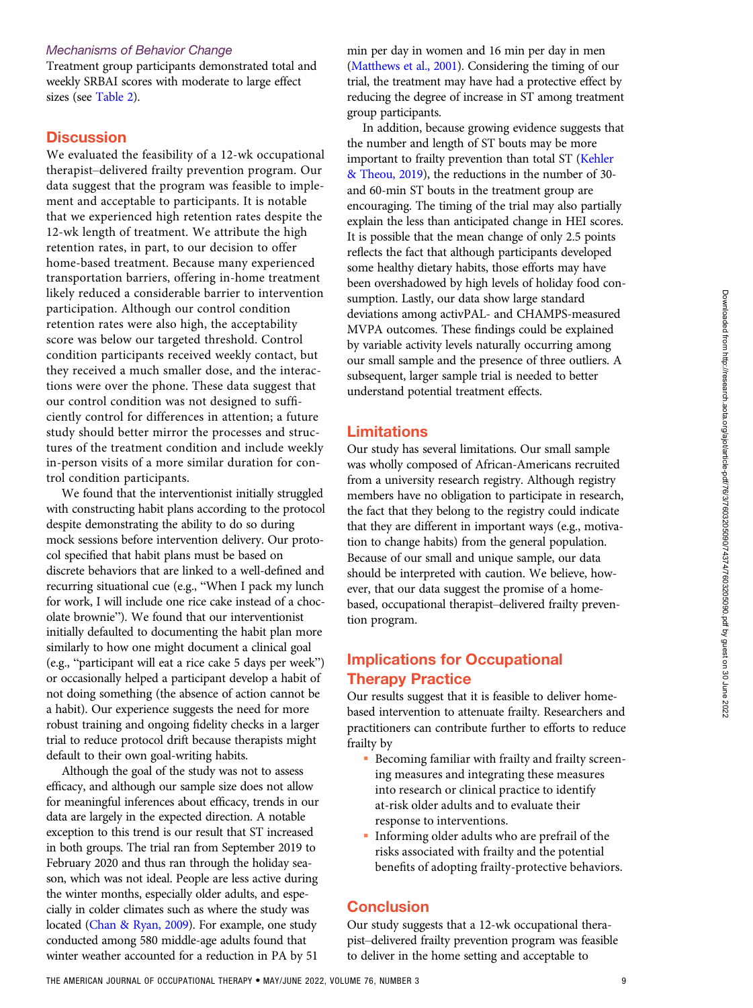# Mechanisms of Behavior Change

Treatment group participants demonstrated total and weekly SRBAI scores with moderate to large effect sizes (see [Table 2](#page-6-0)).

# **Discussion**

We evaluated the feasibility of a 12-wk occupational therapist–delivered frailty prevention program. Our data suggest that the program was feasible to implement and acceptable to participants. It is notable that we experienced high retention rates despite the 12-wk length of treatment. We attribute the high retention rates, in part, to our decision to offer home-based treatment. Because many experienced transportation barriers, offering in-home treatment likely reduced a considerable barrier to intervention participation. Although our control condition retention rates were also high, the acceptability score was below our targeted threshold. Control condition participants received weekly contact, but they received a much smaller dose, and the interactions were over the phone. These data suggest that our control condition was not designed to sufficiently control for differences in attention; a future study should better mirror the processes and structures of the treatment condition and include weekly in-person visits of a more similar duration for control condition participants.

We found that the interventionist initially struggled with constructing habit plans according to the protocol despite demonstrating the ability to do so during mock sessions before intervention delivery. Our protocol specified that habit plans must be based on discrete behaviors that are linked to a well-defined and recurring situational cue (e.g., "When I pack my lunch for work, I will include one rice cake instead of a chocolate brownie"). We found that our interventionist initially defaulted to documenting the habit plan more similarly to how one might document a clinical goal (e.g., "participant will eat a rice cake 5 days per week") or occasionally helped a participant develop a habit of not doing something (the absence of action cannot be a habit). Our experience suggests the need for more robust training and ongoing fidelity checks in a larger trial to reduce protocol drift because therapists might default to their own goal-writing habits.

Although the goal of the study was not to assess efficacy, and although our sample size does not allow for meaningful inferences about efficacy, trends in our data are largely in the expected direction. A notable exception to this trend is our result that ST increased in both groups. The trial ran from September 2019 to February 2020 and thus ran through the holiday season, which was not ideal. People are less active during the winter months, especially older adults, and especially in colder climates such as where the study was located [\(Chan & Ryan, 2009](#page-9-0)). For example, one study conducted among 580 middle-age adults found that winter weather accounted for a reduction in PA by 51

min per day in women and 16 min per day in men [\(Matthews et al., 2001](#page-10-0)). Considering the timing of our trial, the treatment may have had a protective effect by reducing the degree of increase in ST among treatment group participants.

In addition, because growing evidence suggests that the number and length of ST bouts may be more important to frailty prevention than total ST ([Kehler](#page-9-0) [& Theou, 2019](#page-9-0)), the reductions in the number of 30 and 60-min ST bouts in the treatment group are encouraging. The timing of the trial may also partially explain the less than anticipated change in HEI scores. It is possible that the mean change of only 2.5 points reflects the fact that although participants developed some healthy dietary habits, those efforts may have been overshadowed by high levels of holiday food consumption. Lastly, our data show large standard deviations among activPAL- and CHAMPS-measured MVPA outcomes. These findings could be explained by variable activity levels naturally occurring among our small sample and the presence of three outliers. A subsequent, larger sample trial is needed to better understand potential treatment effects.

# Limitations

Our study has several limitations. Our small sample was wholly composed of African-Americans recruited from a university research registry. Although registry members have no obligation to participate in research, the fact that they belong to the registry could indicate that they are different in important ways (e.g., motivation to change habits) from the general population. Because of our small and unique sample, our data should be interpreted with caution. We believe, however, that our data suggest the promise of a homebased, occupational therapist–delivered frailty prevention program.

# Implications for Occupational Therapy Practice

Our results suggest that it is feasible to deliver homebased intervention to attenuate frailty. Researchers and practitioners can contribute further to efforts to reduce frailty by

- Becoming familiar with frailty and frailty screening measures and integrating these measures into research or clinical practice to identify at-risk older adults and to evaluate their response to interventions.
- Informing older adults who are prefrail of the risks associated with frailty and the potential benefits of adopting frailty-protective behaviors.

# **Conclusion**

Our study suggests that a 12-wk occupational therapist–delivered frailty prevention program was feasible to deliver in the home setting and acceptable to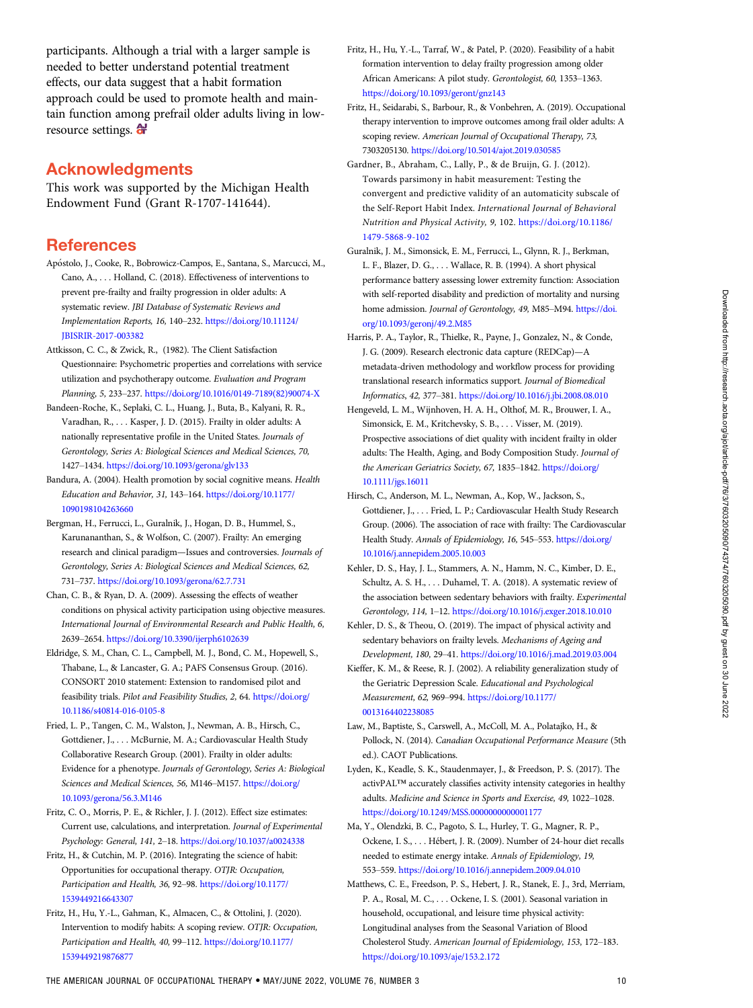<span id="page-9-0"></span>participants. Although a trial with a larger sample is needed to better understand potential treatment effects, our data suggest that a habit formation approach could be used to promote health and maintain function among prefrail older adults living in lowresource settings.  $\mathbf{\hat{a}}$ 

# Acknowledgments

This work was supported by the Michigan Health Endowment Fund (Grant R-1707-141644).

# **References**

- Apostolo, J., Cooke, R., Bobrowicz-Campos, E., Santana, S., Marcucci, M., Cano, A., . . . Holland, C. (2018). Effectiveness of interventions to prevent pre-frailty and frailty progression in older adults: A systematic review. JBI Database of Systematic Reviews and Implementation Reports, 16, 140–232. [https://doi.org/10.11124/](https://doi.org/10.11124/JBISRIR-2017-003382) [JBISRIR-2017-003382](https://doi.org/10.11124/JBISRIR-2017-003382)
- Attkisson, C. C., & Zwick, R., (1982). The Client Satisfaction Questionnaire: Psychometric properties and correlations with service utilization and psychotherapy outcome. Evaluation and Program Planning, 5, 233–237. [https://doi.org/10.1016/0149-7189\(82\)90074-X](https://doi.org/10.1016/0149-7189(82)90074-X)
- Bandeen-Roche, K., Seplaki, C. L., Huang, J., Buta, B., Kalyani, R. R., Varadhan, R., . . . Kasper, J. D. (2015). Frailty in older adults: A nationally representative profile in the United States. Journals of Gerontology, Series A: Biological Sciences and Medical Sciences, 70, 1427–1434. <https://doi.org/10.1093/gerona/glv133>
- Bandura, A. (2004). Health promotion by social cognitive means. Health Education and Behavior, 31, 143–164. [https://doi.org/10.1177/](https://doi.org/10.1177/1090198104263660) [1090198104263660](https://doi.org/10.1177/1090198104263660)
- Bergman, H., Ferrucci, L., Guralnik, J., Hogan, D. B., Hummel, S., Karunananthan, S., & Wolfson, C. (2007). Frailty: An emerging research and clinical paradigm—Issues and controversies. Journals of Gerontology, Series A: Biological Sciences and Medical Sciences, 62, 731–737. <https://doi.org/10.1093/gerona/62.7.731>
- Chan, C. B., & Ryan, D. A. (2009). Assessing the effects of weather conditions on physical activity participation using objective measures. International Journal of Environmental Research and Public Health, 6, 2639–2654. <https://doi.org/10.3390/ijerph6102639>
- Eldridge, S. M., Chan, C. L., Campbell, M. J., Bond, C. M., Hopewell, S., Thabane, L., & Lancaster, G. A.; PAFS Consensus Group. (2016). CONSORT 2010 statement: Extension to randomised pilot and feasibility trials. Pilot and Feasibility Studies, 2, 64. [https://doi.org/](https://doi.org/10.1186/s40814-016-0105-8) [10.1186/s40814-016-0105-8](https://doi.org/10.1186/s40814-016-0105-8)
- Fried, L. P., Tangen, C. M., Walston, J., Newman, A. B., Hirsch, C., Gottdiener, J., . . . McBurnie, M. A.; Cardiovascular Health Study Collaborative Research Group. (2001). Frailty in older adults: Evidence for a phenotype. Journals of Gerontology, Series A: Biological Sciences and Medical Sciences, 56, M146–M157. [https://doi.org/](https://doi.org/10.1093/gerona/56.3.M146) [10.1093/gerona/56.3.M146](https://doi.org/10.1093/gerona/56.3.M146)
- Fritz, C. O., Morris, P. E., & Richler, J. J. (2012). Effect size estimates: Current use, calculations, and interpretation. Journal of Experimental Psychology: General, 141, 2–18. <https://doi.org/10.1037/a0024338>
- Fritz, H., & Cutchin, M. P. (2016). Integrating the science of habit: Opportunities for occupational therapy. OTJR: Occupation, Participation and Health, 36, 92–98. [https://doi.org/10.1177/](https://doi.org/10.1177/1539449216643307) [1539449216643307](https://doi.org/10.1177/1539449216643307)
- Fritz, H., Hu, Y.-L., Gahman, K., Almacen, C., & Ottolini, J. (2020). Intervention to modify habits: A scoping review. OTJR: Occupation, Participation and Health, 40, 99–112. [https://doi.org/10.1177/](https://doi.org/10.1177/1539449219876877) [1539449219876877](https://doi.org/10.1177/1539449219876877)
- Fritz, H., Hu, Y.-L., Tarraf, W., & Patel, P. (2020). Feasibility of a habit formation intervention to delay frailty progression among older African Americans: A pilot study. Gerontologist, 60, 1353–1363. <https://doi.org/10.1093/geront/gnz143>
- Fritz, H., Seidarabi, S., Barbour, R., & Vonbehren, A. (2019). Occupational therapy intervention to improve outcomes among frail older adults: A scoping review. American Journal of Occupational Therapy, 73, 7303205130. <https://doi.org/10.5014/ajot.2019.030585>
- Gardner, B., Abraham, C., Lally, P., & de Bruijn, G. J. (2012). Towards parsimony in habit measurement: Testing the convergent and predictive validity of an automaticity subscale of the Self-Report Habit Index. International Journal of Behavioral Nutrition and Physical Activity, 9, 102. [https://doi.org/10.1186/](https://doi.org/10.1186/1479-5868-9-102) [1479-5868-9-102](https://doi.org/10.1186/1479-5868-9-102)
- Guralnik, J. M., Simonsick, E. M., Ferrucci, L., Glynn, R. J., Berkman, L. F., Blazer, D. G., . . . Wallace, R. B. (1994). A short physical performance battery assessing lower extremity function: Association with self-reported disability and prediction of mortality and nursing home admission. Journal of Gerontology, 49, M85–M94. [https://doi.](https://doi.org/10.1093/geronj/49.2.M85) [org/10.1093/geronj/49.2.M85](https://doi.org/10.1093/geronj/49.2.M85)
- Harris, P. A., Taylor, R., Thielke, R., Payne, J., Gonzalez, N., & Conde, J. G. (2009). Research electronic data capture (REDCap)—A metadata-driven methodology and workflow process for providing translational research informatics support. Journal of Biomedical Informatics, 42, 377–381. <https://doi.org/10.1016/j.jbi.2008.08.010>
- Hengeveld, L. M., Wijnhoven, H. A. H., Olthof, M. R., Brouwer, I. A., Simonsick, E. M., Kritchevsky, S. B., . . . Visser, M. (2019). Prospective associations of diet quality with incident frailty in older adults: The Health, Aging, and Body Composition Study. Journal of the American Geriatrics Society, 67, 1835–1842. [https://doi.org/](https://doi.org/10.1111/jgs.16011) [10.1111/jgs.16011](https://doi.org/10.1111/jgs.16011)
- Hirsch, C., Anderson, M. L., Newman, A., Kop, W., Jackson, S., Gottdiener, J., . . . Fried, L. P.; Cardiovascular Health Study Research Group. (2006). The association of race with frailty: The Cardiovascular Health Study. Annals of Epidemiology, 16, 545–553. [https://doi.org/](https://doi.org/10.1016/j.annepidem.2005.10.003) [10.1016/j.annepidem.2005.10.003](https://doi.org/10.1016/j.annepidem.2005.10.003)
- Kehler, D. S., Hay, J. L., Stammers, A. N., Hamm, N. C., Kimber, D. E., Schultz, A. S. H., . . . Duhamel, T. A. (2018). A systematic review of the association between sedentary behaviors with frailty. Experimental Gerontology, 114, 1–12. <https://doi.org/10.1016/j.exger.2018.10.010>
- Kehler, D. S., & Theou, O. (2019). The impact of physical activity and sedentary behaviors on frailty levels. Mechanisms of Ageing and Development, 180, 29–41. <https://doi.org/10.1016/j.mad.2019.03.004>
- Kieffer, K. M., & Reese, R. J. (2002). A reliability generalization study of the Geriatric Depression Scale. Educational and Psychological Measurement, 62, 969–994. [https://doi.org/10.1177/](https://doi.org/10.1177/0013164402238085) [0013164402238085](https://doi.org/10.1177/0013164402238085)
- Law, M., Baptiste, S., Carswell, A., McColl, M. A., Polatajko, H., & Pollock, N. (2014). Canadian Occupational Performance Measure (5th ed.). CAOT Publications.
- Lyden, K., Keadle, S. K., Staudenmayer, J., & Freedson, P. S. (2017). The activPAL™ accurately classifies activity intensity categories in healthy adults. Medicine and Science in Sports and Exercise, 49, 1022–1028. <https://doi.org/10.1249/MSS.0000000000001177>
- Ma, Y., Olendzki, B. C., Pagoto, S. L., Hurley, T. G., Magner, R. P., Ockene, I. S., . . . Hébert, J. R. (2009). Number of 24-hour diet recalls needed to estimate energy intake. Annals of Epidemiology, 19, 553–559. <https://doi.org/10.1016/j.annepidem.2009.04.010>
- Matthews, C. E., Freedson, P. S., Hebert, J. R., Stanek, E. J., 3rd, Merriam, P. A., Rosal, M. C., . . . Ockene, I. S. (2001). Seasonal variation in household, occupational, and leisure time physical activity: Longitudinal analyses from the Seasonal Variation of Blood Cholesterol Study. American Journal of Epidemiology, 153, 172–183. <https://doi.org/10.1093/aje/153.2.172>